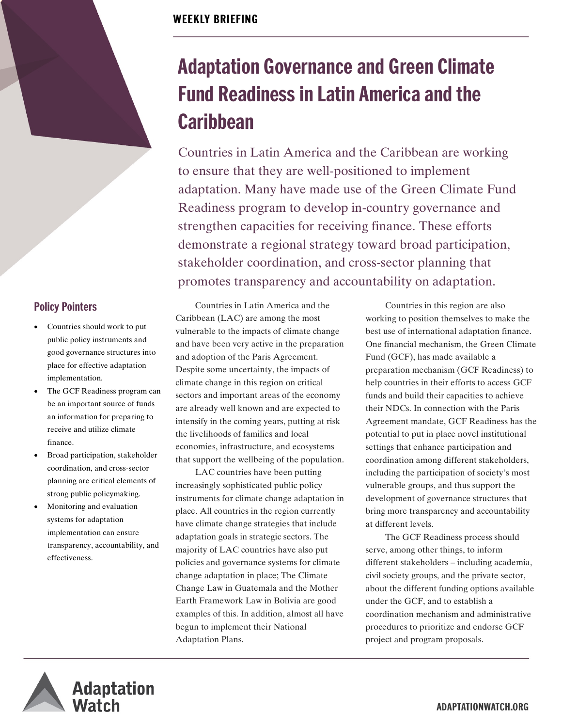### **WEEKLY BRIEFING**

2

# **Adaptation Governance and Green Climate Fund Readiness in Latin America and the Caribbean**

Countries in Latin America and the Caribbean are working to ensure that they are well-positioned to implement adaptation. Many have made use of the Green Climate Fund Readiness program to develop in-country governance and strengthen capacities for receiving finance. These efforts demonstrate a regional strategy toward broad participation, stakeholder coordination, and cross-sector planning that promotes transparency and accountability on adaptation.

Countries in Latin America and the Caribbean (LAC) are among the most vulnerable to the impacts of climate change and have been very active in the preparation and adoption of the Paris Agreement. Despite some uncertainty, the impacts of climate change in this region on critical sectors and important areas of the economy are already well known and are expected to intensify in the coming years, putting at risk the livelihoods of families and local economies, infrastructure, and ecosystems that support the wellbeing of the population.

LAC countries have been putting increasingly sophisticated public policy instruments for climate change adaptation in place. All countries in the region currently have climate change strategies that include adaptation goals in strategic sectors. The majority of LAC countries have also put policies and governance systems for climate change adaptation in place; The Climate Change Law in Guatemala and the Mother Earth Framework Law in Bolivia are good examples of this. In addition, almost all have begun to implement their National Adaptation Plans.

Countries in this region are also working to position themselves to make the best use of international adaptation finance. One financial mechanism, the Green Climate Fund (GCF), has made available a preparation mechanism (GCF Readiness) to help countries in their efforts to access GCF funds and build their capacities to achieve their NDCs. In connection with the Paris Agreement mandate, GCF Readiness has the potential to put in place novel institutional settings that enhance participation and coordination among different stakeholders, including the participation of society's most vulnerable groups, and thus support the development of governance structures that bring more transparency and accountability at different levels.

The GCF Readiness process should serve, among other things, to inform different stakeholders – including academia, civil society groups, and the private sector, about the different funding options available under the GCF, and to establish a coordination mechanism and administrative procedures to prioritize and endorse GCF project and program proposals.



**Policy Pointers**

implementation.

finance.

effectiveness.

Countries should work to put public policy instruments and good governance structures into place for effective adaptation

The GCF Readiness program can be an important source of funds an information for preparing to receive and utilize climate

• Broad participation, stakeholder coordination, and cross-sector planning are critical elements of strong public policymaking. • Monitoring and evaluation systems for adaptation implementation can ensure transparency, accountability, and